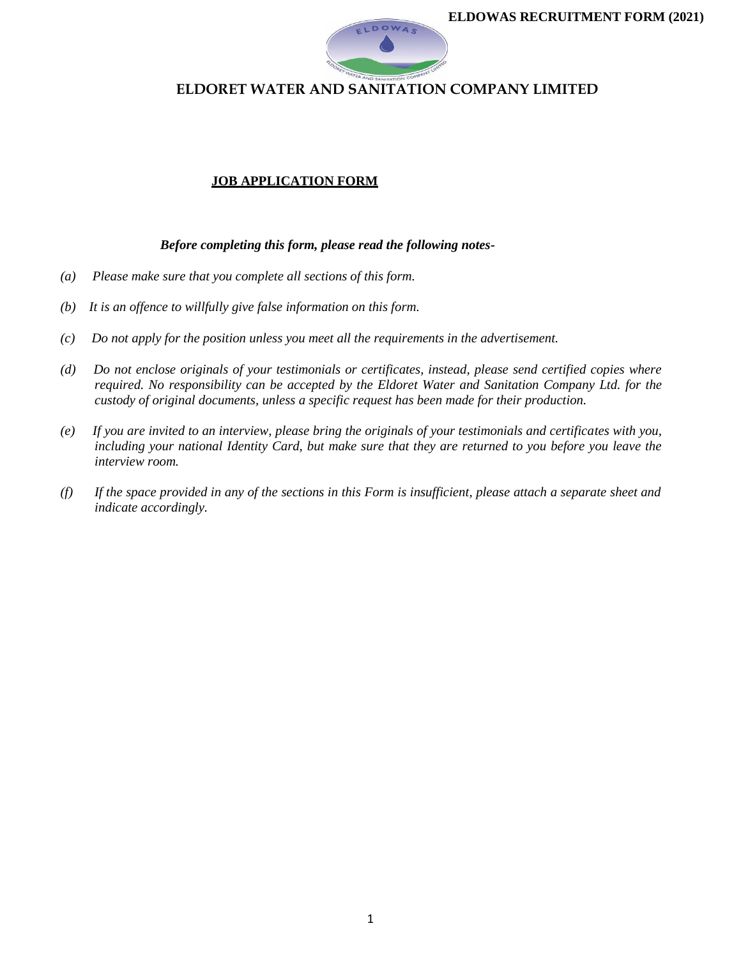

#### **JOB APPLICATION FORM**

#### *Before completing this form, please read the following notes-*

- *(a) Please make sure that you complete all sections of this form.*
- *(b) It is an offence to willfully give false information on this form.*
- *(c) Do not apply for the position unless you meet all the requirements in the advertisement.*
- *(d) Do not enclose originals of your testimonials or certificates, instead, please send certified copies where required. No responsibility can be accepted by the Eldoret Water and Sanitation Company Ltd. for the custody of original documents, unless a specific request has been made for their production.*
- *(e) If you are invited to an interview, please bring the originals of your testimonials and certificates with you, including your national Identity Card, but make sure that they are returned to you before you leave the interview room.*
- *(f) If the space provided in any of the sections in this Form is insufficient, please attach a separate sheet and indicate accordingly.*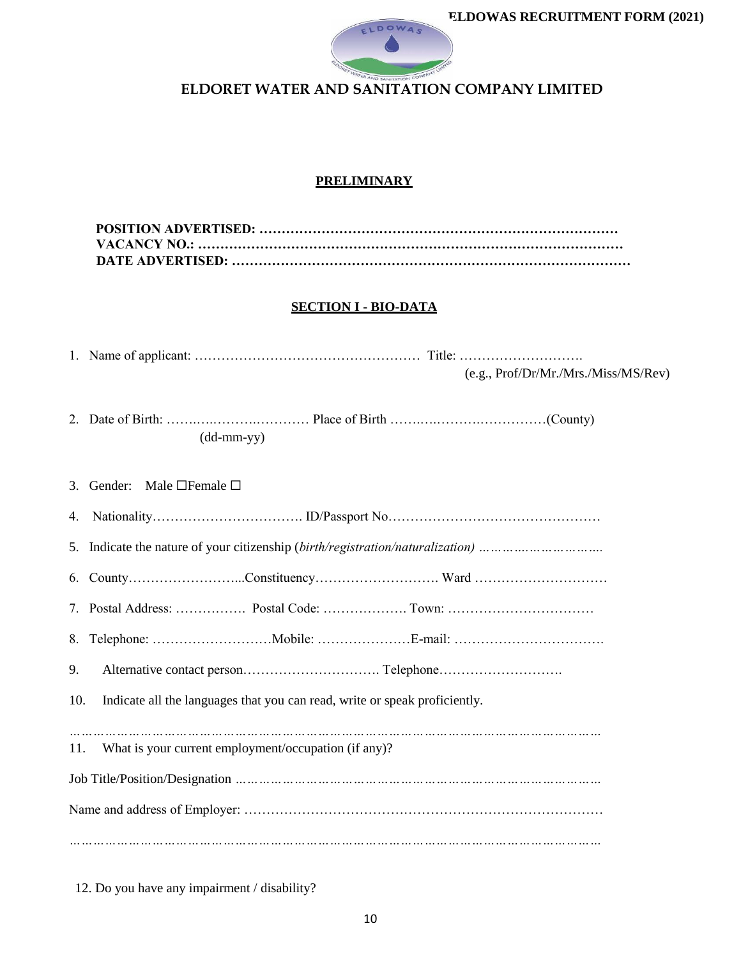

## **PRELIMINARY**

### **SECTION I - BIO-DATA**

|  |  | (e.g., Prof/Dr/Mr./Mrs./Miss/ MS/Rev) |
|--|--|---------------------------------------|

|  | $(dd-mm-yy)$ |  |
|--|--------------|--|

|     | 3. Gender: Male $\Box$ Female $\Box$                                       |  |
|-----|----------------------------------------------------------------------------|--|
|     |                                                                            |  |
|     |                                                                            |  |
|     |                                                                            |  |
|     |                                                                            |  |
|     |                                                                            |  |
| 9.  |                                                                            |  |
| 10. | Indicate all the languages that you can read, write or speak proficiently. |  |
|     |                                                                            |  |
| 11. | What is your current employment/occupation (if any)?                       |  |
|     |                                                                            |  |
|     |                                                                            |  |
|     |                                                                            |  |

12. Do you have any impairment / disability?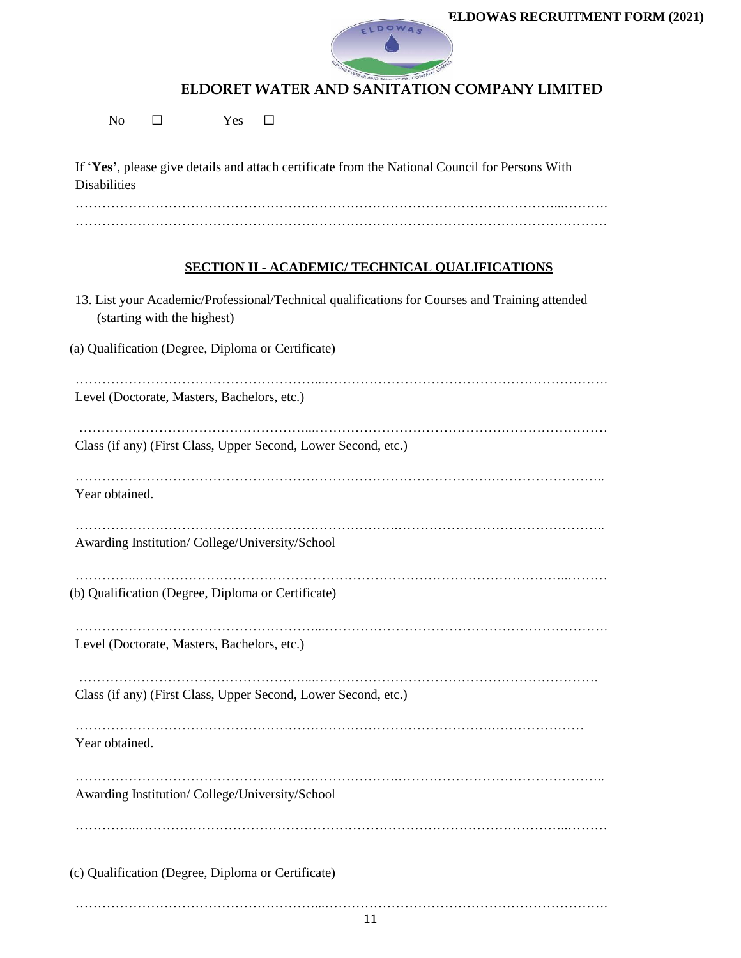

No □ Yes □

If '**Yes'**, please give details and attach certificate from the National Council for Persons With Disabilities ………………………………………………………………………………………………...……….

…………………………………………………………………………………………………………

## **SECTION II - ACADEMIC/ TECHNICAL QUALIFICATIONS**

| 13. List your Academic/Professional/Technical qualifications for Courses and Training attended<br>(starting with the highest) |
|-------------------------------------------------------------------------------------------------------------------------------|
| (a) Qualification (Degree, Diploma or Certificate)                                                                            |
| Level (Doctorate, Masters, Bachelors, etc.)                                                                                   |
| Class (if any) (First Class, Upper Second, Lower Second, etc.)                                                                |
| Year obtained.                                                                                                                |
| Awarding Institution/College/University/School                                                                                |
| (b) Qualification (Degree, Diploma or Certificate)                                                                            |
| Level (Doctorate, Masters, Bachelors, etc.)                                                                                   |
| Class (if any) (First Class, Upper Second, Lower Second, etc.)                                                                |
| Year obtained.                                                                                                                |
| Awarding Institution/College/University/School                                                                                |
|                                                                                                                               |
| (c) Qualification (Degree, Diploma or Certificate)                                                                            |
|                                                                                                                               |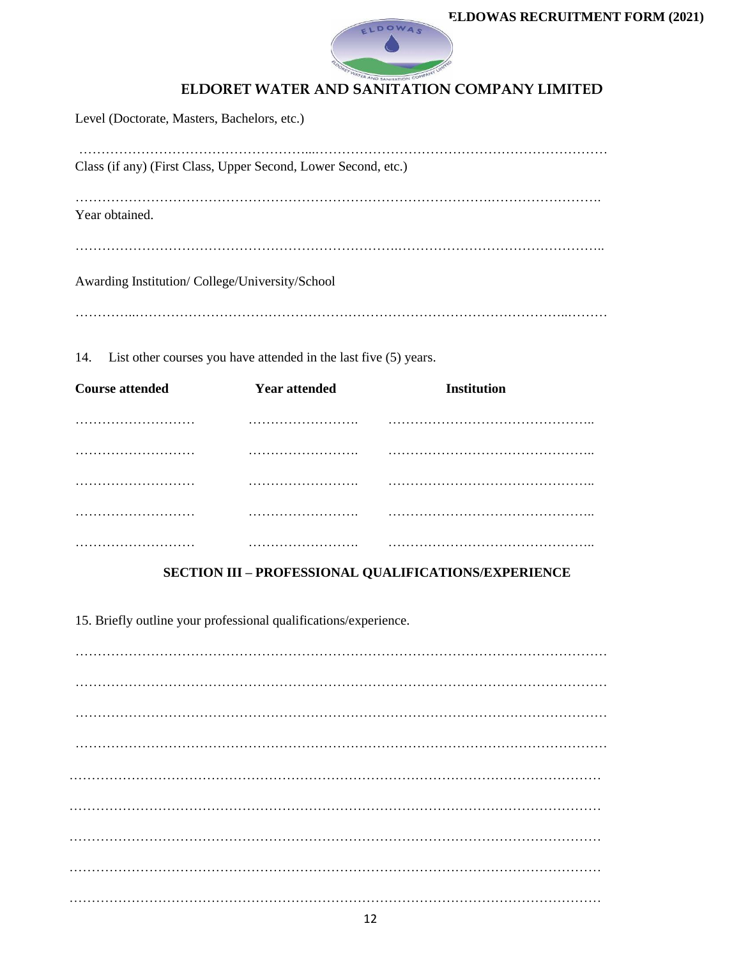

Level (Doctorate, Masters, Bachelors, etc.) ……………………………………………...………………………………………………………… Class (if any) (First Class, Upper Second, Lower Second, etc.) ………………………………………………………………………………….……………………. Year obtained. ……………………………………………………………….……………………………………….. Awarding Institution/ College/University/School …………..……………………………………………………………………………………..………

14. List other courses you have attended in the last five (5) years.

| <b>Course attended</b> | <b>Year attended</b> | Institution |
|------------------------|----------------------|-------------|
|                        |                      |             |
|                        |                      | .           |
|                        |                      |             |
|                        |                      |             |
|                        |                      |             |

## **SECTION III – PROFESSIONAL QUALIFICATIONS/EXPERIENCE**

15. Briefly outline your professional qualifications/experience.

………………………………………………………………………………………………………… ………………………………………………………………………………………………………… ………………………………………………………………………………………………………… ………………………………………………………………………………………………………… ………………………………………………………………………………………………………… ………………………………………………………………………………………………………… ………………………………………………………………………………………………………… ………………………………………………………………………………………………………… …………………………………………………………………………………………………………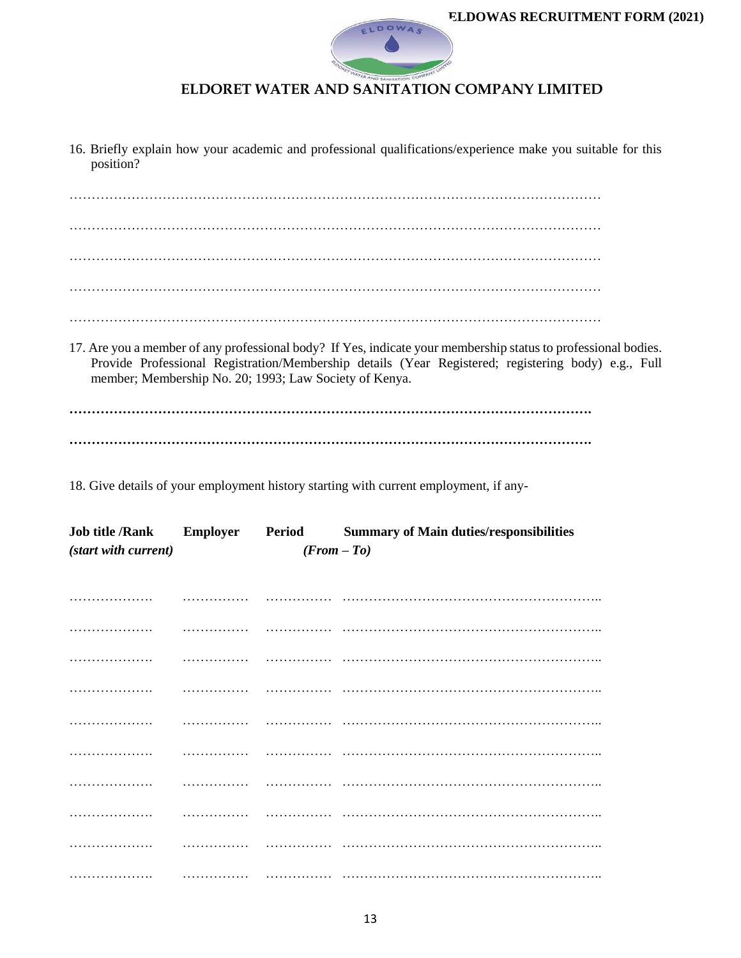

16. Briefly explain how your academic and professional qualifications/experience make you suitable for this position?

………………………………………………………………………………………………………… ………………………………………………………………………………………………………… ………………………………………………………………………………………………………… …………………………………………………………………………………………………………

…………………………………………………………………………………………………………

17. Are you a member of any professional body? If Yes, indicate your membership status to professional bodies. Provide Professional Registration/Membership details (Year Registered; registering body) e.g., Full member; Membership No. 20; 1993; Law Society of Kenya.

**………………………………………………………………………………………………………. ……………………………………………………………………………………………………….**

18. Give details of your employment history starting with current employment, if any-

|                                       |  |  | Job title /Rank Employer Period Summary of Main duties/responsibilities |
|---------------------------------------|--|--|-------------------------------------------------------------------------|
| (start with current)<br>$(From - To)$ |  |  |                                                                         |
|                                       |  |  |                                                                         |
|                                       |  |  |                                                                         |
|                                       |  |  |                                                                         |
|                                       |  |  |                                                                         |
|                                       |  |  |                                                                         |
|                                       |  |  |                                                                         |
|                                       |  |  |                                                                         |
|                                       |  |  |                                                                         |
|                                       |  |  |                                                                         |
|                                       |  |  |                                                                         |
|                                       |  |  |                                                                         |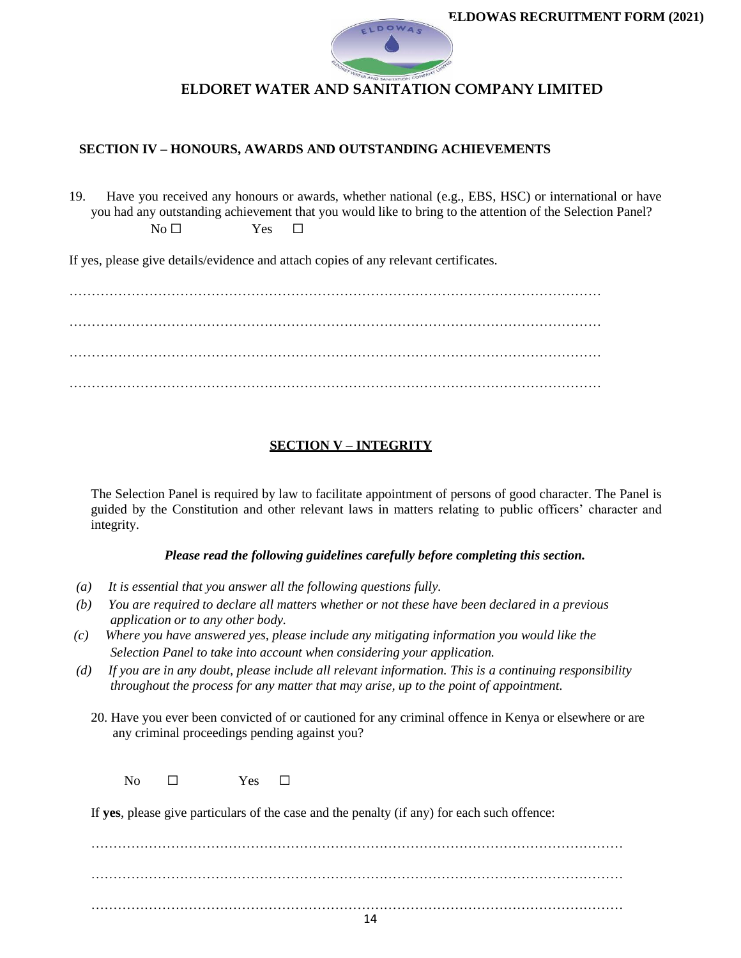

#### **SECTION IV – HONOURS, AWARDS AND OUTSTANDING ACHIEVEMENTS**

19. Have you received any honours or awards, whether national (e.g., EBS, HSC) or international or have you had any outstanding achievement that you would like to bring to the attention of the Selection Panel?  $N_0 \Box$  Yes  $\Box$ 

If yes, please give details/evidence and attach copies of any relevant certificates.

………………………………………………………………………………………………………… ………………………………………………………………………………………………………… …………………………………………………………………………………………………………

### **SECTION V – INTEGRITY**

The Selection Panel is required by law to facilitate appointment of persons of good character. The Panel is guided by the Constitution and other relevant laws in matters relating to public officers' character and integrity.

#### *Please read the following guidelines carefully before completing this section.*

- *(a) It is essential that you answer all the following questions fully.*
- *(b) You are required to declare all matters whether or not these have been declared in a previous application or to any other body.*
- *(c) Where you have answered yes, please include any mitigating information you would like the Selection Panel to take into account when considering your application.*
- *(d) If you are in any doubt, please include all relevant information. This is a continuing responsibility throughout the process for any matter that may arise, up to the point of appointment.*
	- 20. Have you ever been convicted of or cautioned for any criminal offence in Kenya or elsewhere or are any criminal proceedings pending against you?

No □ Yes □

If **yes**, please give particulars of the case and the penalty (if any) for each such offence:

………………………………………………………………………………………………………… ………………………………………………………………………………………………………… …………………………………………………………………………………………………………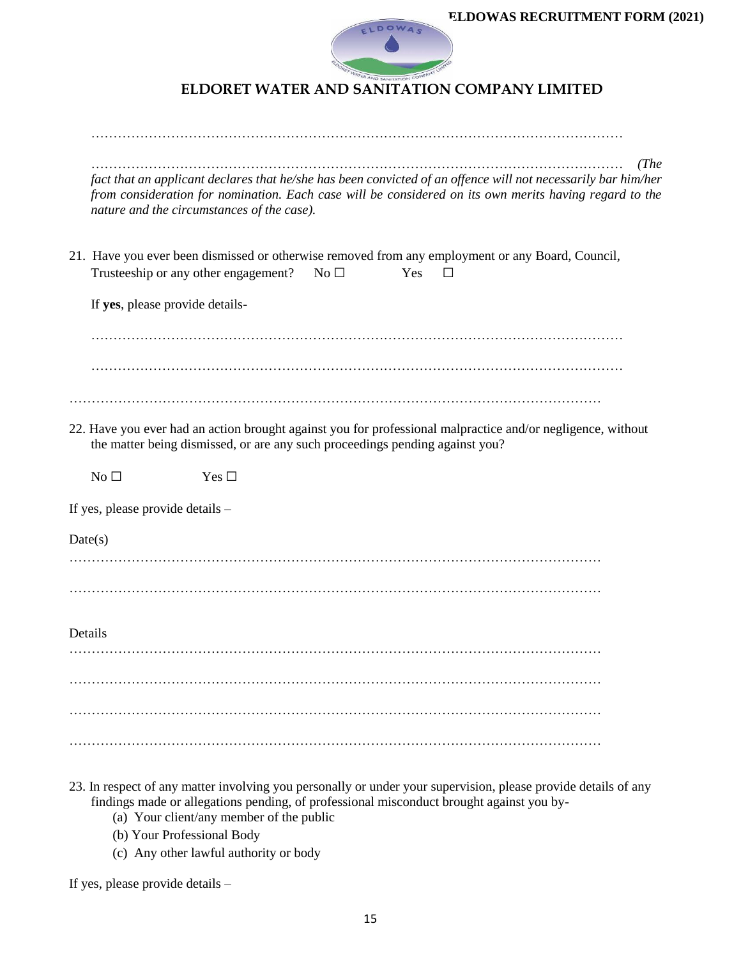

|         | (The<br>fact that an applicant declares that he/she has been convicted of an offence will not necessarily bar him/her<br>from consideration for nomination. Each case will be considered on its own merits having regard to the<br>nature and the circumstances of the case). |
|---------|-------------------------------------------------------------------------------------------------------------------------------------------------------------------------------------------------------------------------------------------------------------------------------|
|         | 21. Have you ever been dismissed or otherwise removed from any employment or any Board, Council,<br>Trusteeship or any other engagement?<br>No $\Box$<br>Yes<br>$\Box$                                                                                                        |
|         | If yes, please provide details-                                                                                                                                                                                                                                               |
|         |                                                                                                                                                                                                                                                                               |
|         |                                                                                                                                                                                                                                                                               |
|         | 22. Have you ever had an action brought against you for professional malpractice and/or negligence, without<br>the matter being dismissed, or are any such proceedings pending against you?                                                                                   |
|         | No $\Box$<br>Yes $\square$                                                                                                                                                                                                                                                    |
|         | If yes, please provide details -                                                                                                                                                                                                                                              |
| Date(s) |                                                                                                                                                                                                                                                                               |
|         |                                                                                                                                                                                                                                                                               |
|         |                                                                                                                                                                                                                                                                               |
| Details |                                                                                                                                                                                                                                                                               |
|         |                                                                                                                                                                                                                                                                               |
|         |                                                                                                                                                                                                                                                                               |
|         |                                                                                                                                                                                                                                                                               |
|         |                                                                                                                                                                                                                                                                               |

- 23. In respect of any matter involving you personally or under your supervision, please provide details of any findings made or allegations pending, of professional misconduct brought against you by-
	- (a) Your client/any member of the public
	- (b) Your Professional Body
	- (c) Any other lawful authority or body

If yes, please provide details –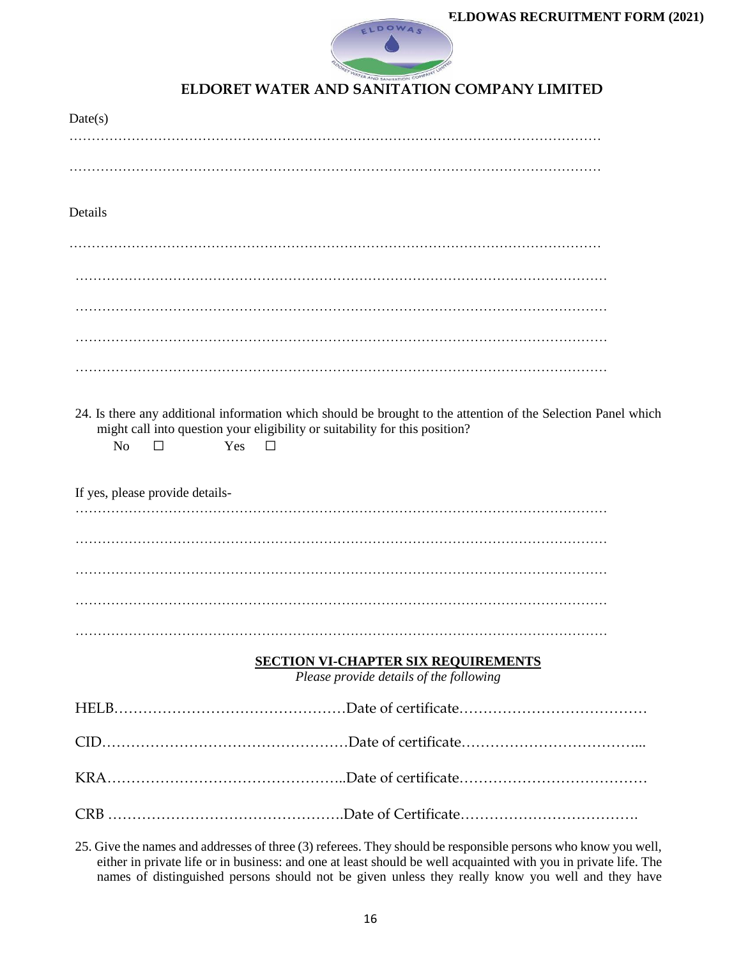

| Date(s)                                                                                                                                                                                                               |
|-----------------------------------------------------------------------------------------------------------------------------------------------------------------------------------------------------------------------|
|                                                                                                                                                                                                                       |
|                                                                                                                                                                                                                       |
| Details                                                                                                                                                                                                               |
|                                                                                                                                                                                                                       |
|                                                                                                                                                                                                                       |
|                                                                                                                                                                                                                       |
|                                                                                                                                                                                                                       |
|                                                                                                                                                                                                                       |
| 24. Is there any additional information which should be brought to the attention of the Selection Panel which<br>might call into question your eligibility or suitability for this position?<br>N <sub>o</sub><br>Yes |
| If yes, please provide details-<br>.                                                                                                                                                                                  |
|                                                                                                                                                                                                                       |
|                                                                                                                                                                                                                       |
|                                                                                                                                                                                                                       |
|                                                                                                                                                                                                                       |
| <b>SECTION VI-CHAPTER SIX REQUIREMENTS</b><br>Please provide details of the following                                                                                                                                 |
|                                                                                                                                                                                                                       |
|                                                                                                                                                                                                                       |
|                                                                                                                                                                                                                       |
|                                                                                                                                                                                                                       |
| 25 Give the names and addresses of three (3) referees They should be responsible persons who know you well                                                                                                            |

25. Give the names and addresses of three (3) referees. They should be responsible persons who know you well, either in private life or in business: and one at least should be well acquainted with you in private life. The names of distinguished persons should not be given unless they really know you well and they have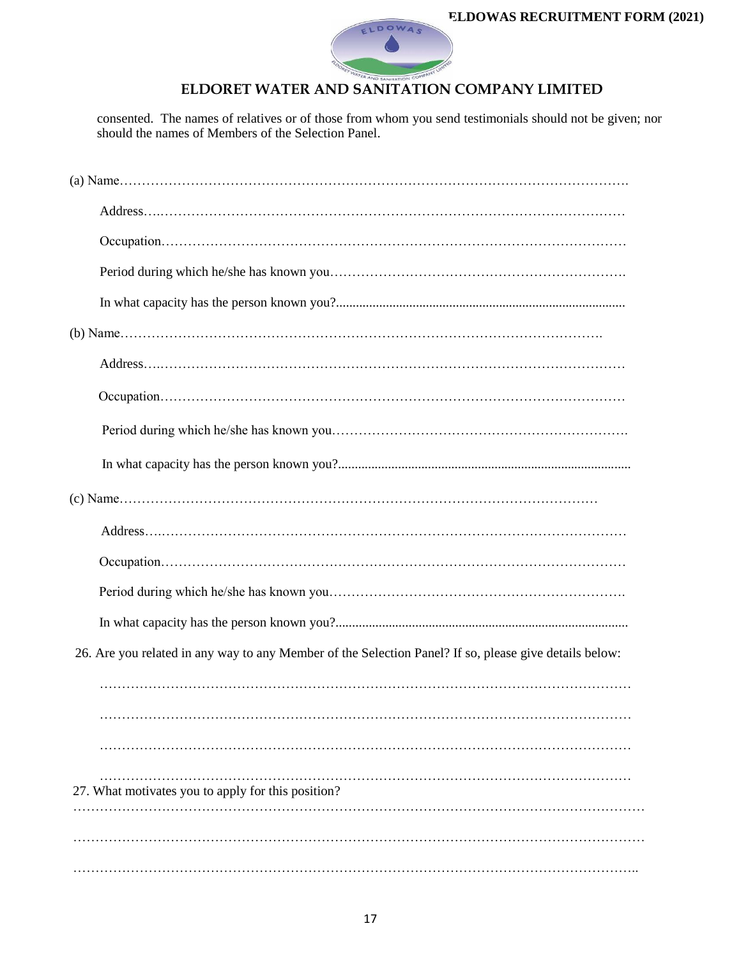

consented. The names of relatives or of those from whom you send testimonials should not be given; nor should the names of Members of the Selection Panel.

| 26. Are you related in any way to any Member of the Selection Panel? If so, please give details below: |
|--------------------------------------------------------------------------------------------------------|
|                                                                                                        |
|                                                                                                        |
|                                                                                                        |
| 27. What motivates you to apply for this position?                                                     |
|                                                                                                        |
|                                                                                                        |
|                                                                                                        |